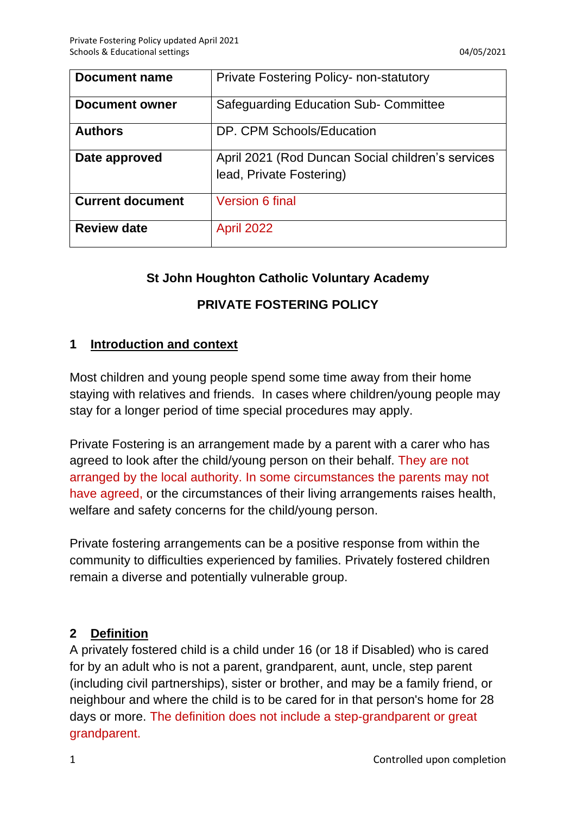| Document name           | <b>Private Fostering Policy- non-statutory</b>                                |
|-------------------------|-------------------------------------------------------------------------------|
| <b>Document owner</b>   | <b>Safeguarding Education Sub- Committee</b>                                  |
| <b>Authors</b>          | DP. CPM Schools/Education                                                     |
| Date approved           | April 2021 (Rod Duncan Social children's services<br>lead, Private Fostering) |
| <b>Current document</b> | <b>Version 6 final</b>                                                        |
| <b>Review date</b>      | <b>April 2022</b>                                                             |

#### **St John Houghton Catholic Voluntary Academy**

# **PRIVATE FOSTERING POLICY**

#### **1 Introduction and context**

Most children and young people spend some time away from their home staying with relatives and friends. In cases where children/young people may stay for a longer period of time special procedures may apply.

Private Fostering is an arrangement made by a parent with a carer who has agreed to look after the child/young person on their behalf. They are not arranged by the local authority. In some circumstances the parents may not have agreed, or the circumstances of their living arrangements raises health, welfare and safety concerns for the child/young person.

Private fostering arrangements can be a positive response from within the community to difficulties experienced by families. Privately fostered children remain a diverse and potentially vulnerable group.

## **2 Definition**

A privately fostered child is a child under 16 (or 18 if Disabled) who is cared for by an adult who is not a parent, grandparent, aunt, uncle, step parent (including civil partnerships), sister or brother, and may be a family friend, or neighbour and where the child is to be cared for in that person's home for 28 days or more. The definition does not include a step-grandparent or great grandparent.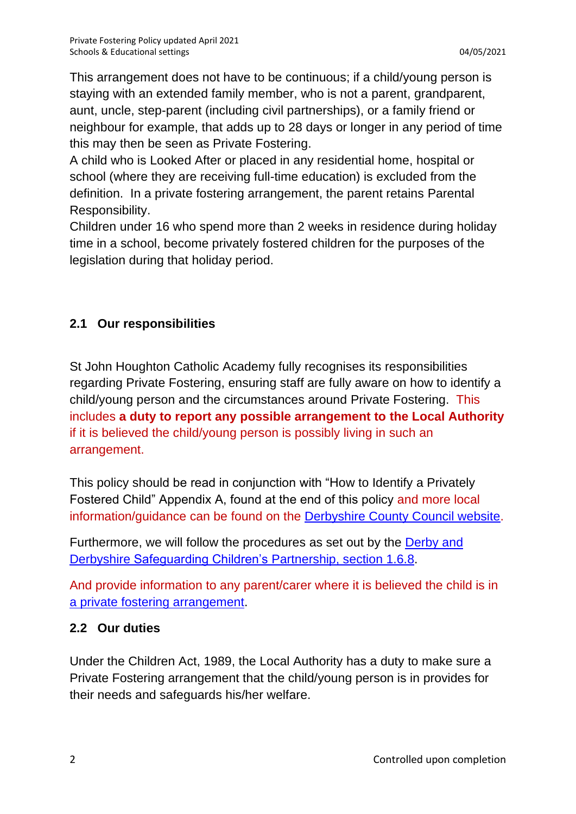This arrangement does not have to be continuous; if a child/young person is staying with an extended family member, who is not a parent, grandparent, aunt, uncle, step-parent (including civil partnerships), or a family friend or neighbour for example, that adds up to 28 days or longer in any period of time this may then be seen as Private Fostering.

A child who is [Looked After](http://www.proceduresonline.com/resources/keywords_online/nat_key/keywords/looked_after.html) or placed in any residential home, hospital or school (where they are receiving full-time education) is excluded from the definition. In a private fostering arrangement, the parent retains [Parental](http://www.proceduresonline.com/resources/keywords_online/nat_key/keywords/parental_respons.html)  [Responsibility.](http://www.proceduresonline.com/resources/keywords_online/nat_key/keywords/parental_respons.html)

Children under 16 who spend more than 2 weeks in residence during holiday time in a school, become privately fostered children for the purposes of the legislation during that holiday period.

# **2.1 Our responsibilities**

St John Houghton Catholic Academy fully recognises its responsibilities regarding Private Fostering, ensuring staff are fully aware on how to identify a child/young person and the circumstances around Private Fostering. This includes **a duty to report any possible arrangement to the Local Authority** if it is believed the child/young person is possibly living in such an arrangement.

This policy should be read in conjunction with "How to Identify a Privately Fostered Child" Appendix A, found at the end of this policy and more local information/guidance can be found on the [Derbyshire County Council website.](https://www.derbyshire.gov.uk/social-health/children-and-families/foster/fostering/become-foster-carer/types-fostering/private-fostering/private-fostering.aspx)

Furthermore, we will follow the procedures as set out by the [Derby and](http://derbyshirescbs.proceduresonline.com/p_ch_living_away.html#priv_fostering)  [Derbyshire Safeguarding Children's Partnership, section 1.6.8.](http://derbyshirescbs.proceduresonline.com/p_ch_living_away.html#priv_fostering)

And provide information to any parent/carer where it is believed the child is in [a private fostering arrangement.](https://schoolsnet.derbyshire.gov.uk/keeping-children-safe-in-education/parental-responsibility-and-private-fostering/private-fostering.aspx)

## **2.2 Our duties**

Under the Children Act, 1989, the Local Authority has a duty to make sure a Private Fostering arrangement that the child/young person is in provides for their needs and safeguards his/her welfare.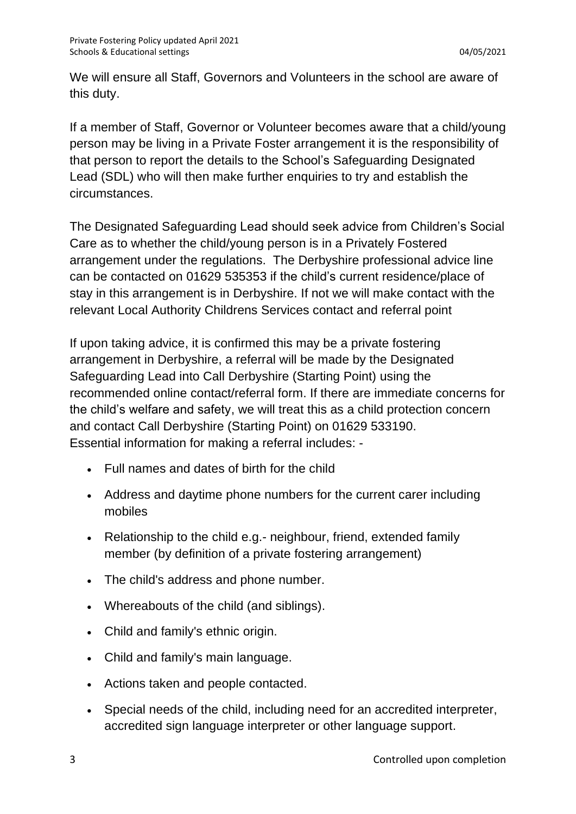We will ensure all Staff, Governors and Volunteers in the school are aware of this duty.

If a member of Staff, Governor or Volunteer becomes aware that a child/young person may be living in a Private Foster arrangement it is the responsibility of that person to report the details to the School's Safeguarding Designated Lead (SDL) who will then make further enquiries to try and establish the circumstances.

The Designated Safeguarding Lead should seek advice from Children's Social Care as to whether the child/young person is in a Privately Fostered arrangement under the regulations. The Derbyshire professional advice line can be contacted on 01629 535353 if the child's current residence/place of stay in this arrangement is in Derbyshire. If not we will make contact with the relevant Local Authority Childrens Services contact and referral point

If upon taking advice, it is confirmed this may be a private fostering arrangement in Derbyshire, a referral will be made by the Designated Safeguarding Lead into Call Derbyshire (Starting Point) using the recommended online contact/referral form. If there are immediate concerns for the child's welfare and safety, we will treat this as a child protection concern and contact Call Derbyshire (Starting Point) on 01629 533190. Essential information for making a referral includes: -

- Full names and dates of birth for the child
- Address and daytime phone numbers for the current carer including mobiles
- Relationship to the child e.g.- neighbour, friend, extended family member (by definition of a private fostering arrangement)
- The child's address and phone number.
- Whereabouts of the child (and siblings).
- Child and family's ethnic origin.
- Child and family's main language.
- Actions taken and people contacted.
- Special needs of the child, including need for an accredited interpreter, accredited sign language interpreter or other language support.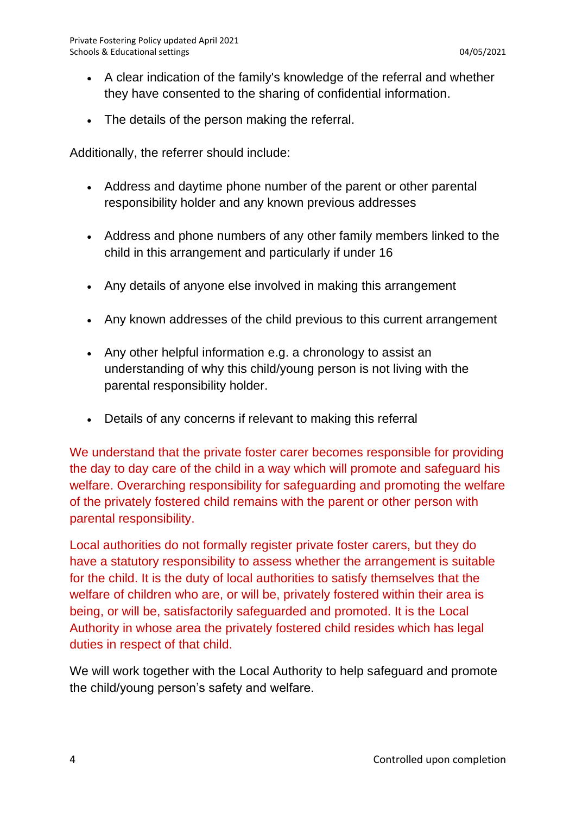- A clear indication of the family's knowledge of the referral and whether they have consented to the sharing of confidential information.
- The details of the person making the referral.

Additionally, the referrer should include:

- Address and daytime phone number of the parent or other parental responsibility holder and any known previous addresses
- Address and phone numbers of any other family members linked to the child in this arrangement and particularly if under 16
- Any details of anyone else involved in making this arrangement
- Any known addresses of the child previous to this current arrangement
- Any other helpful information e.g. a chronology to assist an understanding of why this child/young person is not living with the parental responsibility holder.
- Details of any concerns if relevant to making this referral

We understand that the private foster carer becomes responsible for providing the day to day care of the child in a way which will promote and safeguard his welfare. Overarching responsibility for safeguarding and promoting the welfare of the privately fostered child remains with the parent or other person with parental responsibility.

Local authorities do not formally register private foster carers, but they do have a statutory responsibility to assess whether the arrangement is suitable for the child. It is the duty of local authorities to satisfy themselves that the welfare of children who are, or will be, privately fostered within their area is being, or will be, satisfactorily safeguarded and promoted. It is the Local Authority in whose area the privately fostered child resides which has legal duties in respect of that child.

We will work together with the Local Authority to help safeguard and promote the child/young person's safety and welfare.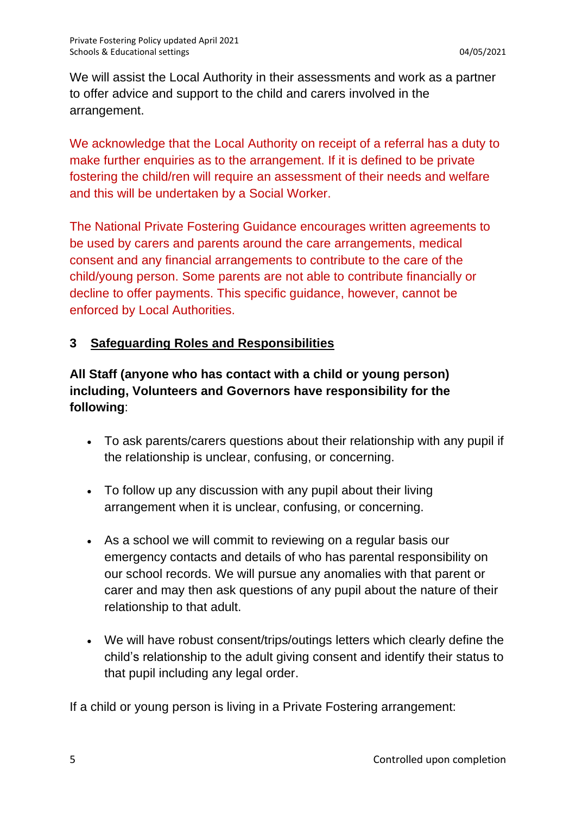We will assist the Local Authority in their assessments and work as a partner to offer advice and support to the child and carers involved in the arrangement.

We acknowledge that the Local Authority on receipt of a referral has a duty to make further enquiries as to the arrangement. If it is defined to be private fostering the child/ren will require an assessment of their needs and welfare and this will be undertaken by a Social Worker.

The National Private Fostering Guidance encourages written agreements to be used by carers and parents around the care arrangements, medical consent and any financial arrangements to contribute to the care of the child/young person. Some parents are not able to contribute financially or decline to offer payments. This specific guidance, however, cannot be enforced by Local Authorities.

## **3 Safeguarding Roles and Responsibilities**

# **All Staff (anyone who has contact with a child or young person) including, Volunteers and Governors have responsibility for the following**:

- To ask parents/carers questions about their relationship with any pupil if the relationship is unclear, confusing, or concerning.
- To follow up any discussion with any pupil about their living arrangement when it is unclear, confusing, or concerning.
- As a school we will commit to reviewing on a regular basis our emergency contacts and details of who has parental responsibility on our school records. We will pursue any anomalies with that parent or carer and may then ask questions of any pupil about the nature of their relationship to that adult.
- We will have robust consent/trips/outings letters which clearly define the child's relationship to the adult giving consent and identify their status to that pupil including any legal order.

If a child or young person is living in a Private Fostering arrangement: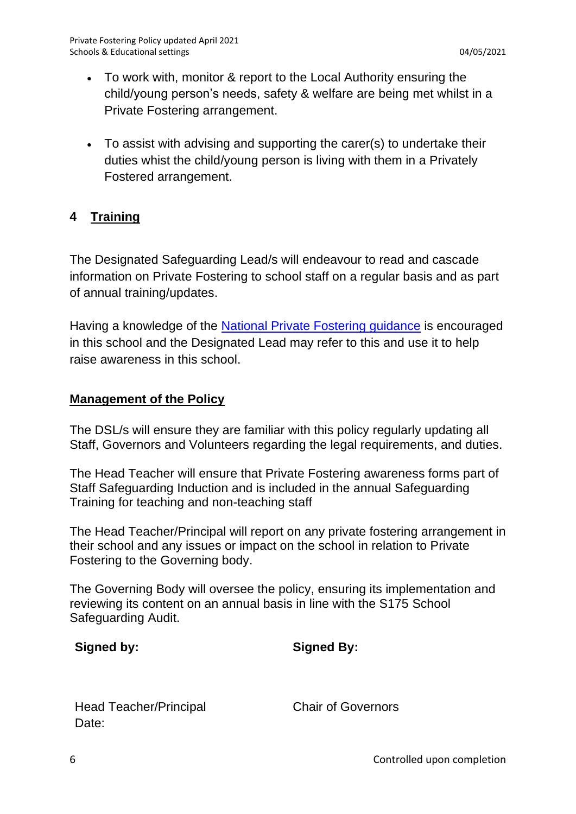- To work with, monitor & report to the Local Authority ensuring the child/young person's needs, safety & welfare are being met whilst in a Private Fostering arrangement.
- To assist with advising and supporting the carer(s) to undertake their duties whist the child/young person is living with them in a Privately Fostered arrangement.

## **4 Training**

The Designated Safeguarding Lead/s will endeavour to read and cascade information on Private Fostering to school staff on a regular basis and as part of annual training/updates.

Having a knowledge of the [National Private Fostering guidance](https://www.gov.uk/government/publications/children-act-1989-private-fostering) is encouraged in this school and the Designated Lead may refer to this and use it to help raise awareness in this school.

#### **Management of the Policy**

The DSL/s will ensure they are familiar with this policy regularly updating all Staff, Governors and Volunteers regarding the legal requirements, and duties.

The Head Teacher will ensure that Private Fostering awareness forms part of Staff Safeguarding Induction and is included in the annual Safeguarding Training for teaching and non-teaching staff

The Head Teacher/Principal will report on any private fostering arrangement in their school and any issues or impact on the school in relation to Private Fostering to the Governing body.

The Governing Body will oversee the policy, ensuring its implementation and reviewing its content on an annual basis in line with the S175 School Safeguarding Audit.

| Signed by: | <b>Signed By:</b> |
|------------|-------------------|
|            |                   |

Head Teacher/Principal Chair of Governors Date: